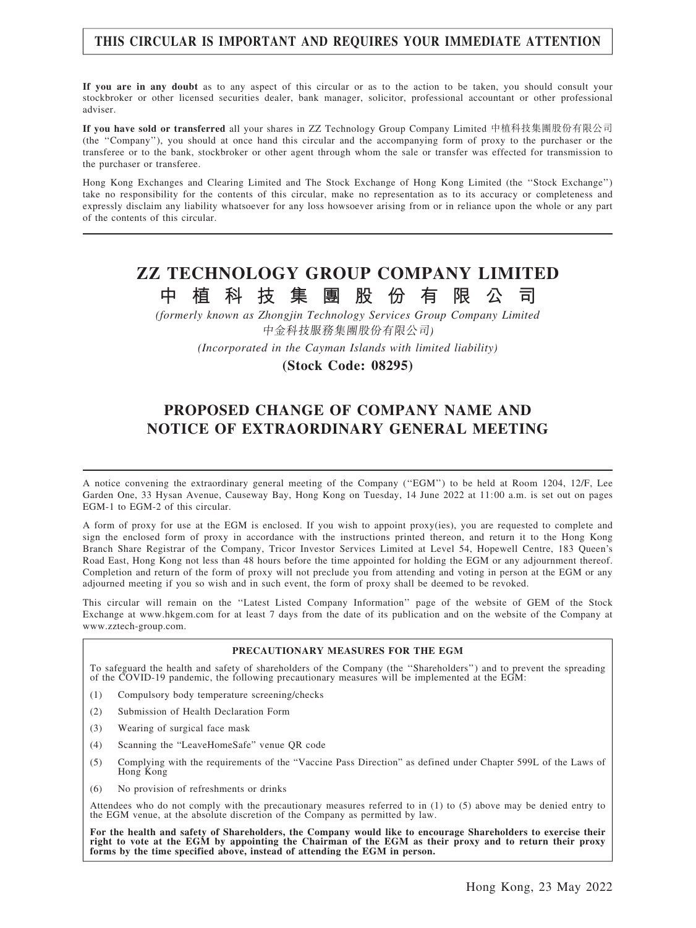## THIS CIRCULAR IS IMPORTANT AND REQUIRES YOUR IMMEDIATE ATTENTION

If you are in any doubt as to any aspect of this circular or as to the action to be taken, you should consult your stockbroker or other licensed securities dealer, bank manager, solicitor, professional accountant or other professional adviser.

If you have sold or transferred all your shares in ZZ Technology Group Company Limited 中植科技集團股份有限公司 (the ''Company''), you should at once hand this circular and the accompanying form of proxy to the purchaser or the transferee or to the bank, stockbroker or other agent through whom the sale or transfer was effected for transmission to the purchaser or transferee.

Hong Kong Exchanges and Clearing Limited and The Stock Exchange of Hong Kong Limited (the ''Stock Exchange'') take no responsibility for the contents of this circular, make no representation as to its accuracy or completeness and expressly disclaim any liability whatsoever for any loss howsoever arising from or in reliance upon the whole or any part of the contents of this circular.

## ZZ TECHNOLOGY GROUP COMPANY LIMITED 中 植 科 技 集 團 股 份 有 限 公 司

(formerly known as Zhongjin Technology Services Group Company Limited 中金科技服務集團股份有限公司)

(Incorporated in the Cayman Islands with limited liability)

(Stock Code: 08295)

## PROPOSED CHANGE OF COMPANY NAME AND NOTICE OF EXTRAORDINARY GENERAL MEETING

A notice convening the extraordinary general meeting of the Company (''EGM'') to be held at Room 1204, 12/F, Lee Garden One, 33 Hysan Avenue, Causeway Bay, Hong Kong on Tuesday, 14 June 2022 at 11:00 a.m. is set out on pages EGM-1 to EGM-2 of this circular.

A form of proxy for use at the EGM is enclosed. If you wish to appoint proxy(ies), you are requested to complete and sign the enclosed form of proxy in accordance with the instructions printed thereon, and return it to the Hong Kong Branch Share Registrar of the Company, Tricor Investor Services Limited at Level 54, Hopewell Centre, 183 Queen's Road East, Hong Kong not less than 48 hours before the time appointed for holding the EGM or any adjournment thereof. Completion and return of the form of proxy will not preclude you from attending and voting in person at the EGM or any adjourned meeting if you so wish and in such event, the form of proxy shall be deemed to be revoked.

This circular will remain on the ''Latest Listed Company Information'' page of the website of GEM of the Stock Exchange at www.hkgem.com for at least 7 days from the date of its publication and on the website of the Company at www.zztech-group.com.

#### PRECAUTIONARY MEASURES FOR THE EGM

To safeguard the health and safety of shareholders of the Company (the ''Shareholders'') and to prevent the spreading of the COVID-19 pandemic, the following precautionary measures will be implemented at the EGM:

- (1) Compulsory body temperature screening/checks
- (2) Submission of Health Declaration Form
- (3) Wearing of surgical face mask
- (4) Scanning the "LeaveHomeSafe" venue QR code
- (5) Complying with the requirements of the "Vaccine Pass Direction" as defined under Chapter 599L of the Laws of Hong Kong
- (6) No provision of refreshments or drinks

Attendees who do not comply with the precautionary measures referred to in (1) to (5) above may be denied entry to the EGM venue, at the absolute discretion of the Company as permitted by law.

For the health and safety of Shareholders, the Company would like to encourage Shareholders to exercise their right to vote at the EGM by appointing the Chairman of the EGM as their proxy and to return their proxy forms by the time specified above, instead of attending the EGM in person.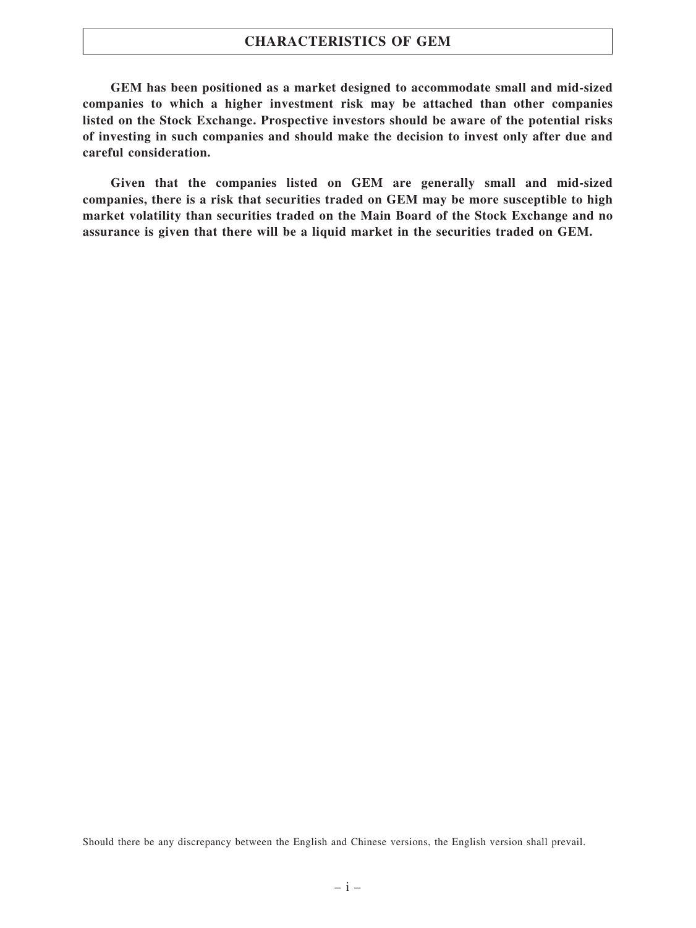### CHARACTERISTICS OF GEM

GEM has been positioned as a market designed to accommodate small and mid-sized companies to which a higher investment risk may be attached than other companies listed on the Stock Exchange. Prospective investors should be aware of the potential risks of investing in such companies and should make the decision to invest only after due and careful consideration.

Given that the companies listed on GEM are generally small and mid-sized companies, there is a risk that securities traded on GEM may be more susceptible to high market volatility than securities traded on the Main Board of the Stock Exchange and no assurance is given that there will be a liquid market in the securities traded on GEM.

Should there be any discrepancy between the English and Chinese versions, the English version shall prevail.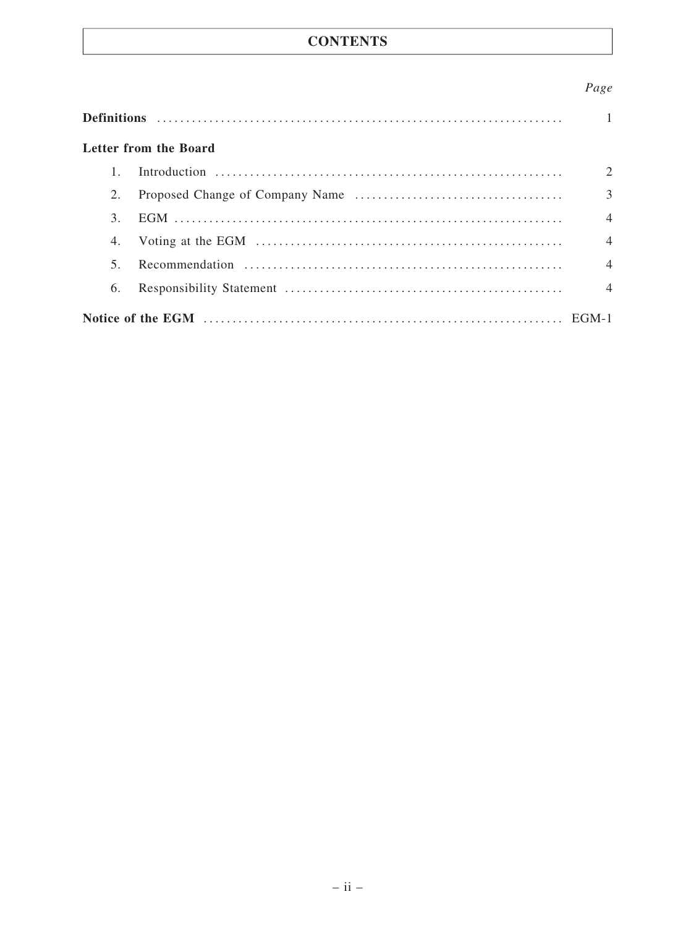## **CONTENTS**

## Page

|        | Letter from the Board |                |
|--------|-----------------------|----------------|
|        |                       | 2              |
| 2.     |                       | 3              |
| 3.     |                       | $\overline{4}$ |
| 4.     |                       | $\overline{4}$ |
| $\sim$ |                       | $\overline{4}$ |
| 6.     |                       | $\overline{4}$ |
|        |                       |                |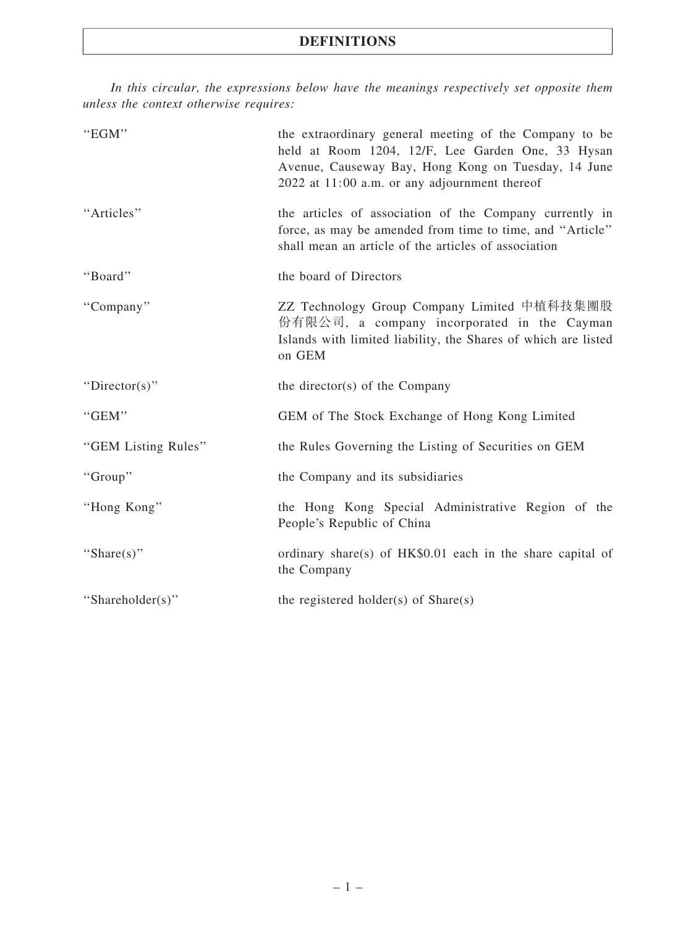## DEFINITIONS

In this circular, the expressions below have the meanings respectively set opposite them unless the context otherwise requires:

| "EGM"               | the extraordinary general meeting of the Company to be<br>held at Room 1204, 12/F, Lee Garden One, 33 Hysan<br>Avenue, Causeway Bay, Hong Kong on Tuesday, 14 June<br>2022 at 11:00 a.m. or any adjournment thereof |
|---------------------|---------------------------------------------------------------------------------------------------------------------------------------------------------------------------------------------------------------------|
| "Articles"          | the articles of association of the Company currently in<br>force, as may be amended from time to time, and "Article"<br>shall mean an article of the articles of association                                        |
| "Board"             | the board of Directors                                                                                                                                                                                              |
| "Company"           | ZZ Technology Group Company Limited 中植科技集團股<br>份有限公司, a company incorporated in the Cayman<br>Islands with limited liability, the Shares of which are listed<br>on GEM                                              |
| "Director(s)"       | the director(s) of the Company                                                                                                                                                                                      |
| "GEM"               | GEM of The Stock Exchange of Hong Kong Limited                                                                                                                                                                      |
| "GEM Listing Rules" | the Rules Governing the Listing of Securities on GEM                                                                                                                                                                |
| "Group"             | the Company and its subsidiaries                                                                                                                                                                                    |
| "Hong Kong"         | the Hong Kong Special Administrative Region of the<br>People's Republic of China                                                                                                                                    |
|                     |                                                                                                                                                                                                                     |
| "Share(s)"          | ordinary share(s) of HK\$0.01 each in the share capital of<br>the Company                                                                                                                                           |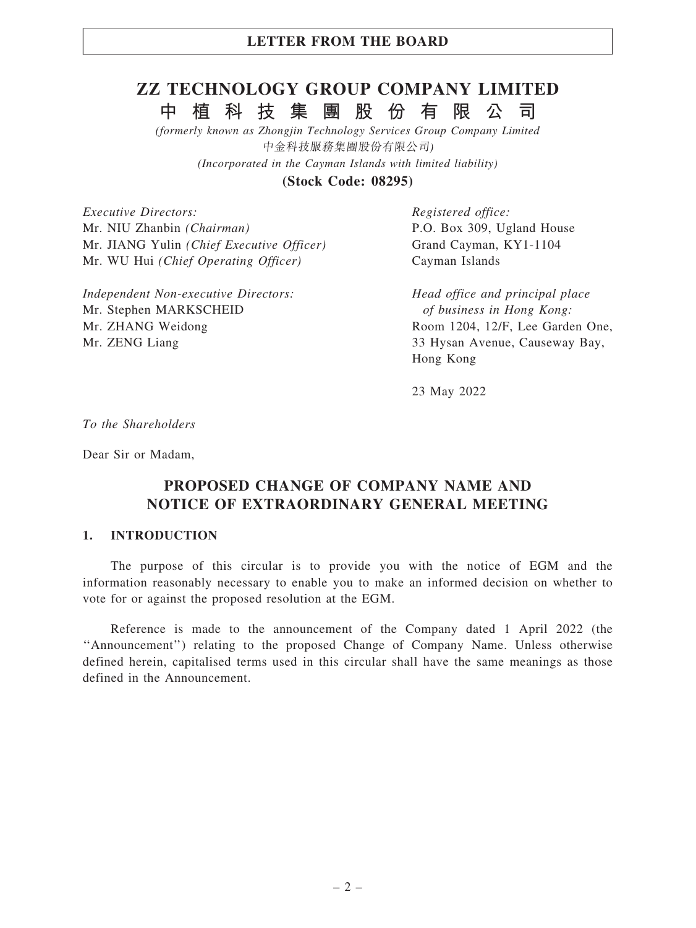## LETTER FROM THE BOARD

# ZZ TECHNOLOGY GROUP COMPANY LIMITED 中 植 科 技 集 團 股 份 有 限 公 司

(formerly known as Zhongjin Technology Services Group Company Limited 中金科技服務集團股份有限公司) (Incorporated in the Cayman Islands with limited liability)

(Stock Code: 08295)

Executive Directors: Mr. NIU Zhanbin (Chairman) Mr. JIANG Yulin (Chief Executive Officer) Mr. WU Hui (Chief Operating Officer)

Independent Non-executive Directors: Mr. Stephen MARKSCHEID Mr. ZHANG Weidong Mr. ZENG Liang

Registered office: P.O. Box 309, Ugland House Grand Cayman, KY1-1104 Cayman Islands

Head office and principal place of business in Hong Kong: Room 1204, 12/F, Lee Garden One, 33 Hysan Avenue, Causeway Bay, Hong Kong

23 May 2022

To the Shareholders

Dear Sir or Madam,

## PROPOSED CHANGE OF COMPANY NAME AND NOTICE OF EXTRAORDINARY GENERAL MEETING

#### 1. INTRODUCTION

The purpose of this circular is to provide you with the notice of EGM and the information reasonably necessary to enable you to make an informed decision on whether to vote for or against the proposed resolution at the EGM.

Reference is made to the announcement of the Company dated 1 April 2022 (the ''Announcement'') relating to the proposed Change of Company Name. Unless otherwise defined herein, capitalised terms used in this circular shall have the same meanings as those defined in the Announcement.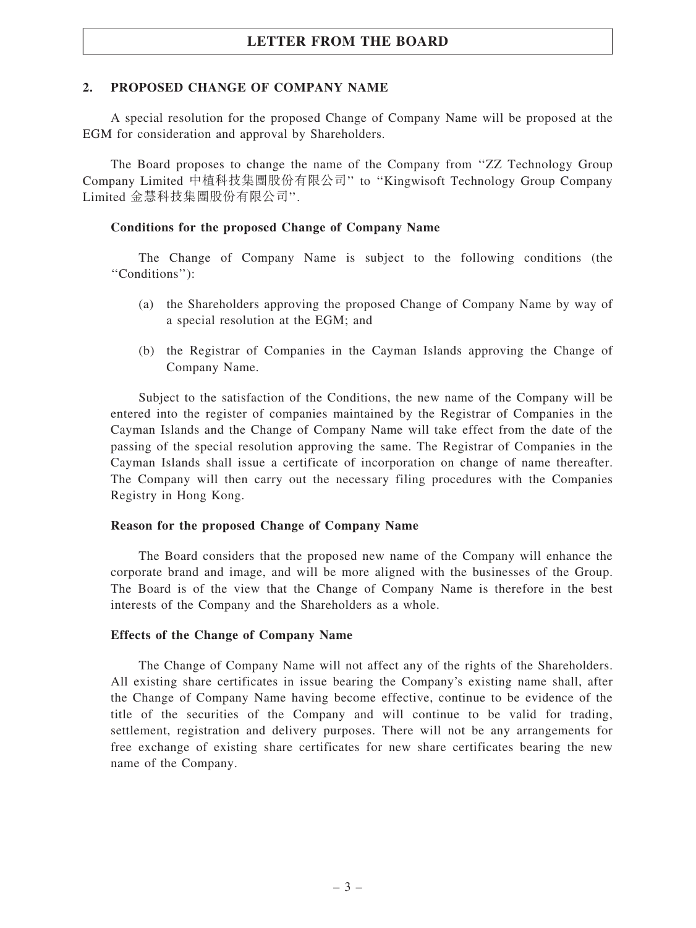## LETTER FROM THE BOARD

### 2. PROPOSED CHANGE OF COMPANY NAME

A special resolution for the proposed Change of Company Name will be proposed at the EGM for consideration and approval by Shareholders.

The Board proposes to change the name of the Company from ''ZZ Technology Group Company Limited 中植科技集團股份有限公司'' to ''Kingwisoft Technology Group Company Limited 金慧科技集團股份有限公司''.

#### Conditions for the proposed Change of Company Name

The Change of Company Name is subject to the following conditions (the ''Conditions''):

- (a) the Shareholders approving the proposed Change of Company Name by way of a special resolution at the EGM; and
- (b) the Registrar of Companies in the Cayman Islands approving the Change of Company Name.

Subject to the satisfaction of the Conditions, the new name of the Company will be entered into the register of companies maintained by the Registrar of Companies in the Cayman Islands and the Change of Company Name will take effect from the date of the passing of the special resolution approving the same. The Registrar of Companies in the Cayman Islands shall issue a certificate of incorporation on change of name thereafter. The Company will then carry out the necessary filing procedures with the Companies Registry in Hong Kong.

#### Reason for the proposed Change of Company Name

The Board considers that the proposed new name of the Company will enhance the corporate brand and image, and will be more aligned with the businesses of the Group. The Board is of the view that the Change of Company Name is therefore in the best interests of the Company and the Shareholders as a whole.

#### Effects of the Change of Company Name

The Change of Company Name will not affect any of the rights of the Shareholders. All existing share certificates in issue bearing the Company's existing name shall, after the Change of Company Name having become effective, continue to be evidence of the title of the securities of the Company and will continue to be valid for trading, settlement, registration and delivery purposes. There will not be any arrangements for free exchange of existing share certificates for new share certificates bearing the new name of the Company.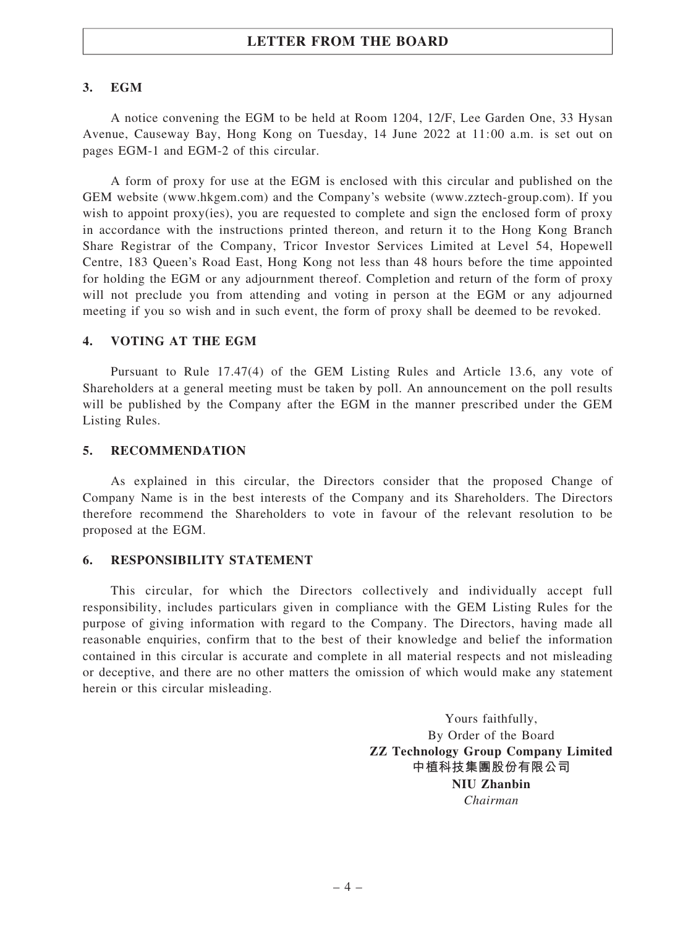## LETTER FROM THE BOARD

#### 3. EGM

A notice convening the EGM to be held at Room 1204, 12/F, Lee Garden One, 33 Hysan Avenue, Causeway Bay, Hong Kong on Tuesday, 14 June 2022 at 11:00 a.m. is set out on pages EGM-1 and EGM-2 of this circular.

A form of proxy for use at the EGM is enclosed with this circular and published on the GEM website (www.hkgem.com) and the Company's website (www.zztech-group.com). If you wish to appoint proxy(ies), you are requested to complete and sign the enclosed form of proxy in accordance with the instructions printed thereon, and return it to the Hong Kong Branch Share Registrar of the Company, Tricor Investor Services Limited at Level 54, Hopewell Centre, 183 Queen's Road East, Hong Kong not less than 48 hours before the time appointed for holding the EGM or any adjournment thereof. Completion and return of the form of proxy will not preclude you from attending and voting in person at the EGM or any adjourned meeting if you so wish and in such event, the form of proxy shall be deemed to be revoked.

#### 4. VOTING AT THE EGM

Pursuant to Rule 17.47(4) of the GEM Listing Rules and Article 13.6, any vote of Shareholders at a general meeting must be taken by poll. An announcement on the poll results will be published by the Company after the EGM in the manner prescribed under the GEM Listing Rules.

#### 5. RECOMMENDATION

As explained in this circular, the Directors consider that the proposed Change of Company Name is in the best interests of the Company and its Shareholders. The Directors therefore recommend the Shareholders to vote in favour of the relevant resolution to be proposed at the EGM.

#### 6. RESPONSIBILITY STATEMENT

This circular, for which the Directors collectively and individually accept full responsibility, includes particulars given in compliance with the GEM Listing Rules for the purpose of giving information with regard to the Company. The Directors, having made all reasonable enquiries, confirm that to the best of their knowledge and belief the information contained in this circular is accurate and complete in all material respects and not misleading or deceptive, and there are no other matters the omission of which would make any statement herein or this circular misleading.

> Yours faithfully, By Order of the Board ZZ Technology Group Company Limited 中植科技集團股份有限公司 NIU Zhanbin Chairman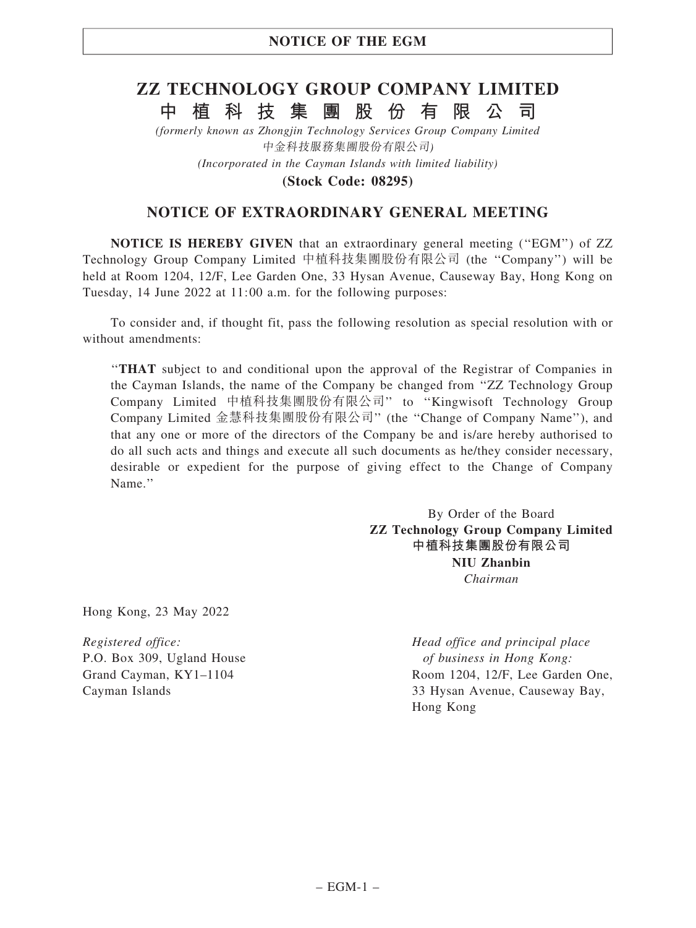# ZZ TECHNOLOGY GROUP COMPANY LIMITED 中 植 科 技 集 團 股 份 有 限 公 司

(formerly known as Zhongjin Technology Services Group Company Limited 中金科技服務集團股份有限公司) (Incorporated in the Cayman Islands with limited liability)

(Stock Code: 08295)

## NOTICE OF EXTRAORDINARY GENERAL MEETING

NOTICE IS HEREBY GIVEN that an extraordinary general meeting (''EGM'') of ZZ Technology Group Company Limited 中植科技集團股份有限公司 (the ''Company'') will be held at Room 1204, 12/F, Lee Garden One, 33 Hysan Avenue, Causeway Bay, Hong Kong on Tuesday, 14 June 2022 at 11:00 a.m. for the following purposes:

To consider and, if thought fit, pass the following resolution as special resolution with or without amendments:

''THAT subject to and conditional upon the approval of the Registrar of Companies in the Cayman Islands, the name of the Company be changed from ''ZZ Technology Group Company Limited 中植科技集團股份有限公司'' to ''Kingwisoft Technology Group Company Limited 金慧科技集團股份有限公司'' (the ''Change of Company Name''), and that any one or more of the directors of the Company be and is/are hereby authorised to do all such acts and things and execute all such documents as he/they consider necessary, desirable or expedient for the purpose of giving effect to the Change of Company Name.''

> By Order of the Board ZZ Technology Group Company Limited 中植科技集團股份有限公司 NIU Zhanbin Chairman

Hong Kong, 23 May 2022

Registered office: P.O. Box 309, Ugland House Grand Cayman, KY1–1104 Cayman Islands

Head office and principal place of business in Hong Kong: Room 1204, 12/F, Lee Garden One, 33 Hysan Avenue, Causeway Bay, Hong Kong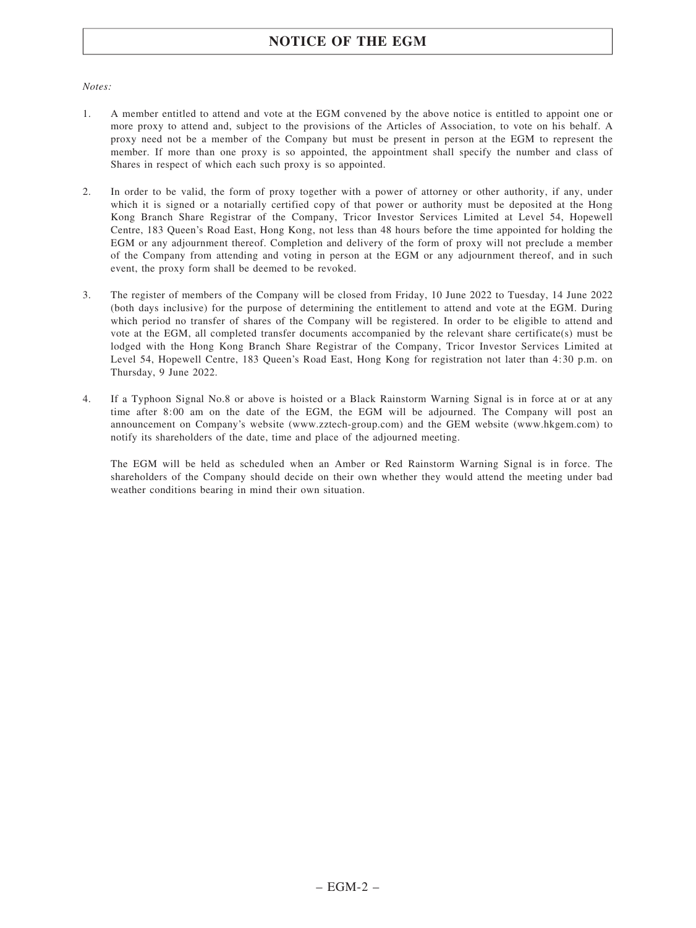## NOTICE OF THE EGM

#### Notes:

- 1. A member entitled to attend and vote at the EGM convened by the above notice is entitled to appoint one or more proxy to attend and, subject to the provisions of the Articles of Association, to vote on his behalf. A proxy need not be a member of the Company but must be present in person at the EGM to represent the member. If more than one proxy is so appointed, the appointment shall specify the number and class of Shares in respect of which each such proxy is so appointed.
- 2. In order to be valid, the form of proxy together with a power of attorney or other authority, if any, under which it is signed or a notarially certified copy of that power or authority must be deposited at the Hong Kong Branch Share Registrar of the Company, Tricor Investor Services Limited at Level 54, Hopewell Centre, 183 Queen's Road East, Hong Kong, not less than 48 hours before the time appointed for holding the EGM or any adjournment thereof. Completion and delivery of the form of proxy will not preclude a member of the Company from attending and voting in person at the EGM or any adjournment thereof, and in such event, the proxy form shall be deemed to be revoked.
- 3. The register of members of the Company will be closed from Friday, 10 June 2022 to Tuesday, 14 June 2022 (both days inclusive) for the purpose of determining the entitlement to attend and vote at the EGM. During which period no transfer of shares of the Company will be registered. In order to be eligible to attend and vote at the EGM, all completed transfer documents accompanied by the relevant share certificate(s) must be lodged with the Hong Kong Branch Share Registrar of the Company, Tricor Investor Services Limited at Level 54, Hopewell Centre, 183 Queen's Road East, Hong Kong for registration not later than 4:30 p.m. on Thursday, 9 June 2022.
- 4. If a Typhoon Signal No.8 or above is hoisted or a Black Rainstorm Warning Signal is in force at or at any time after 8:00 am on the date of the EGM, the EGM will be adjourned. The Company will post an announcement on Company's website (www.zztech-group.com) and the GEM website (www.hkgem.com) to notify its shareholders of the date, time and place of the adjourned meeting.

The EGM will be held as scheduled when an Amber or Red Rainstorm Warning Signal is in force. The shareholders of the Company should decide on their own whether they would attend the meeting under bad weather conditions bearing in mind their own situation.